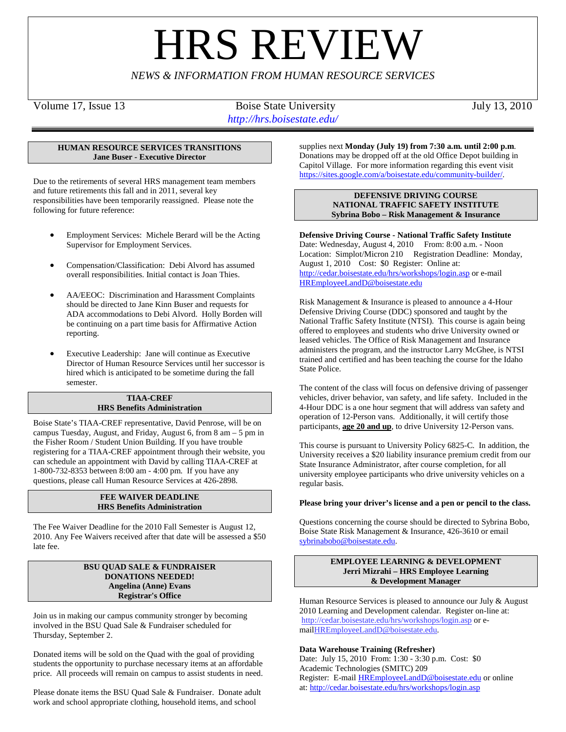# **HRS REVIE**

*NEWS & INFORMATION FROM HUMAN RESOURCE SERVICES*

Volume 17, Issue 13 Boise State University July 13, 2010 *http://hrs.boisestate.edu/*

## **HUMAN RESOURCE SERVICES TRANSITIONS Jane Buser - Executive Director**

Due to the retirements of several HRS management team members and future retirements this fall and in 2011, several key responsibilities have been temporarily reassigned. Please note the following for future reference:

- Employment Services: Michele Berard will be the Acting Supervisor for Employment Services.
- Compensation/Classification: Debi Alvord has assumed overall responsibilities. Initial contact is Joan Thies.
- AA/EEOC: Discrimination and Harassment Complaints should be directed to Jane Kinn Buser and requests for ADA accommodations to Debi Alvord. Holly Borden will be continuing on a part time basis for Affirmative Action reporting.
- Executive Leadership: Jane will continue as Executive Director of Human Resource Services until her successor is hired which is anticipated to be sometime during the fall semester.

# **TIAA-CREF HRS Benefits Administration**

Boise State's TIAA-CREF representative, David Penrose, will be on campus Tuesday, August, and Friday, August 6, from 8 am – 5 pm in the Fisher Room / Student Union Building. If you have trouble registering for a TIAA-CREF appointment through their website, you can schedule an appointment with David by calling TIAA-CREF at 1-800-732-8353 between 8:00 am - 4:00 pm. If you have any questions, please call Human Resource Services at 426-2898.

# **FEE WAIVER DEADLINE HRS Benefits Administration**

The Fee Waiver Deadline for the 2010 Fall Semester is August 12, 2010. Any Fee Waivers received after that date will be assessed a \$50 late fee.

## **BSU QUAD SALE & FUNDRAISER DONATIONS NEEDED! Angelina (Anne) Evans Registrar's Office**

Join us in making our campus community stronger by becoming involved in the BSU Quad Sale & Fundraiser scheduled for Thursday, September 2.

Donated items will be sold on the Quad with the goal of providing students the opportunity to purchase necessary items at an affordable price. All proceeds will remain on campus to assist students in need.

Please donate items the BSU Quad Sale & Fundraiser. Donate adult work and school appropriate clothing, household items, and school

supplies next **Monday (July 19) from 7:30 a.m. until 2:00 p.m**. Donations may be dropped off at the old Office Depot building in Capitol Village. For more information regarding this event visit [https://sites.google.com/a/boisestate.edu/community-builder/.](https://sites.google.com/a/boisestate.edu/community-builder/)

## **DEFENSIVE DRIVING COURSE NATIONAL TRAFFIC SAFETY INSTITUTE Sybrina Bobo – Risk Management & Insurance**

**Defensive Driving Course - National Traffic Safety Institute** Date: Wednesday, August 4, 2010 From: 8:00 a.m. - Noon Location: Simplot/Micron 210 Registration Deadline: Monday, August 1, 2010 Cost: \$0 Register: Online at: <http://cedar.boisestate.edu/hrs/workshops/login.asp> or e-mail [HREmployeeLandD@boisestate.edu](mailto:HREmployeeLandD@boisestate.edu)

Risk Management & Insurance is pleased to announce a 4-Hour Defensive Driving Course (DDC) sponsored and taught by the National Traffic Safety Institute (NTSI). This course is again being offered to employees and students who drive University owned or leased vehicles. The Office of Risk Management and Insurance administers the program, and the instructor Larry McGhee, is NTSI trained and certified and has been teaching the course for the Idaho State Police.

The content of the class will focus on defensive driving of passenger vehicles, driver behavior, van safety, and life safety. Included in the 4-Hour DDC is a one hour segment that will address van safety and operation of 12-Person vans. Additionally, it will certify those participants, **age 20 and up**, to drive University 12-Person vans.

This course is pursuant to University Policy 6825-C. In addition, the University receives a \$20 liability insurance premium credit from our State Insurance Administrator, after course completion, for all university employee participants who drive university vehicles on a regular basis.

# **Please bring your driver's license and a pen or pencil to the class.**

Questions concerning the course should be directed to Sybrina Bobo, Boise State Risk Management & Insurance, 426-3610 or email [sybrinabobo@boisestate.edu.](mailto:sybrinabobo@boisestate.edu)

## **EMPLOYEE LEARNING & DEVELOPMENT Jerri Mizrahi – HRS Employee Learning & Development Manager**

Human Resource Services is pleased to announce our July & August 2010 Learning and Development calendar. Register on-line at: <http://cedar.boisestate.edu/hrs/workshops/login.asp> or emai[lHREmployeeLandD@boisestate.edu.](mailto:HREmployeeLandD@boisestate.edu)

# **Data Warehouse Training (Refresher)**

Date: July 15, 2010 From: 1:30 - 3:30 p.m. Cost: \$0 Academic Technologies (SMITC) 209 Register: E-mail [HREmployeeLandD@boisestate.edu](mailto:HREmployeeLandD@boisestate.edu) or online at: <http://cedar.boisestate.edu/hrs/workshops/login.asp>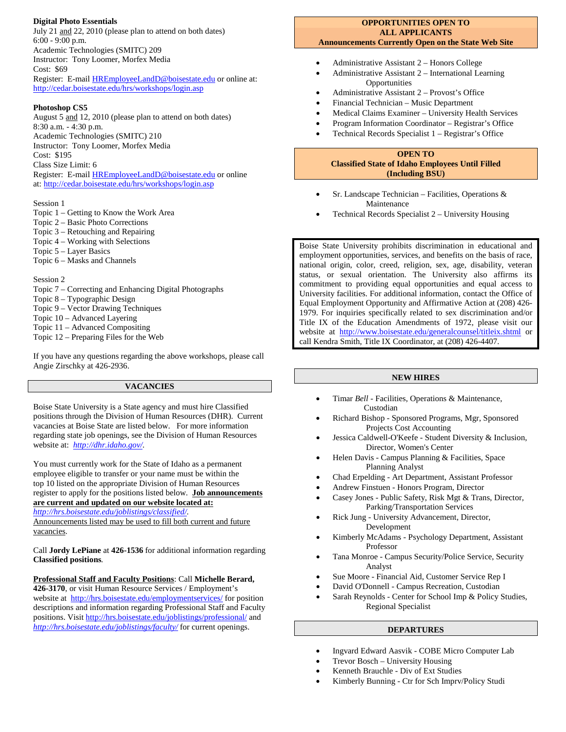# **Digital Photo Essentials**

July 21 and 22, 2010 (please plan to attend on both dates) 6:00 - 9:00 p.m. Academic Technologies (SMITC) 209 Instructor: Tony Loomer, Morfex Media Cost: \$69 Register: E-mail **HREmployeeLandD@boisestate.edu** or online at: <http://cedar.boisestate.edu/hrs/workshops/login.asp>

## **Photoshop CS5**

August 5 and 12, 2010 (please plan to attend on both dates) 8:30 a.m. - 4:30 p.m. Academic Technologies (SMITC) 210 Instructor: Tony Loomer, Morfex Media Cost: \$195 Class Size Limit: 6 Register: E-mail [HREmployeeLandD@boisestate.edu](mailto:HREmployeeLandD@boisestate.edu) or online at: <http://cedar.boisestate.edu/hrs/workshops/login.asp>

## Session 1

- Topic 1 Getting to Know the Work Area
- Topic 2 Basic Photo Corrections
- Topic 3 Retouching and Repairing
- Topic 4 Working with Selections
- Topic 5 Layer Basics
- Topic 6 Masks and Channels

## Session 2

- Topic 7 Correcting and Enhancing Digital Photographs
- Topic 8 Typographic Design
- Topic 9 Vector Drawing Techniques
- Topic 10 Advanced Layering
- Topic 11 Advanced Compositing
- Topic 12 Preparing Files for the Web

If you have any questions regarding the above workshops, please call Angie Zirschky at 426-2936.

# **VACANCIES**

Boise State University is a State agency and must hire Classified positions through the Division of Human Resources (DHR). Current vacancies at Boise State are listed below. For more information regarding state job openings, see the Division of Human Resources website at: *<http://dhr.idaho.gov/>*.

You must currently work for the State of Idaho as a permanent employee eligible to transfer or your name must be within the top 10 listed on the appropriate Division of Human Resources register to apply for the positions listed below. **Job announcements are current and updated on our website located at:**

*<http://hrs.boisestate.edu/joblistings/classified/>*.

Announcements listed may be used to fill both current and future vacancies.

## Call **Jordy LePiane** at **426-1536** for additional information regarding **Classified positions***.*

#### **Professional Staff and Faculty Positions** : Call **Michelle Berard,**

**426-3170**, or visit Human Resource Services / Employment's website at <http://hrs.boisestate.edu/employmentservices/> for position descriptions and information regarding Professional Staff and Faculty positions. Visit<http://hrs.boisestate.edu/joblistings/professional/> and *<http://hrs.boisestate.edu/joblistings/faculty/>* for current openings.

## **OPPORTUNITIES OPEN TO ALL APPLICANTS Announcements Currently Open on the State Web Site**

- Administrative Assistant 2 Honors College
- Administrative Assistant 2 International Learning **Opportunities**
- Administrative Assistant 2 Provost's Office
- Financial Technician Music Department
- Medical Claims Examiner University Health Services
- Program Information Coordinator Registrar's Office
- Technical Records Specialist 1 Registrar's Office

#### **OPEN TO Classified State of Idaho Employees Until Filled (Including BSU)**

- Sr. Landscape Technician Facilities, Operations & Maintenance
- Technical Records Specialist 2 University Housing

Boise State University prohibits discrimination in educational and employment opportunities, services, and benefits on the basis of race, national origin, color, creed, religion, sex, age, disability, veteran status, or sexual orientation. The University also affirms its commitment to providing equal opportunities and equal access to University facilities. For additional information, contact the Office of Equal Employment Opportunity and Affirmative Action at (208) 426- 1979. For inquiries specifically related to sex discrimination and/or Title IX of the Education Amendments of 1972, please visit our website at <http://www.boisestate.edu/generalcounsel/titleix.shtml> or call Kendra Smith, Title IX Coordinator, at (208) 426-4407.

# **NEW HIRES**

- Timar *Bell -* Facilities, Operations & Maintenance, Custodian
- Richard Bishop Sponsored Programs, Mgr, Sponsored Projects Cost Accounting
- Jessica Caldwell-O'Keefe Student Diversity & Inclusion, Director, Women's Center
- Helen Davis Campus Planning & Facilities, Space Planning Analyst
- Chad Erpelding Art Department, Assistant Professor
- Andrew Finstuen Honors Program, Director
- Casey Jones Public Safety, Risk Mgt & Trans, Director, Parking/Transportation Services
- Rick Jung University Advancement, Director, Development
- Kimberly McAdams Psychology Department, Assistant Professor
- Tana Monroe Campus Security/Police Service, Security Analyst
- Sue Moore Financial Aid, Customer Service Rep I
- David O'Donnell Campus Recreation, Custodian
- Sarah Reynolds Center for School Imp & Policy Studies, Regional Specialist

## **DEPARTURES**

- Ingvard Edward Aasvik COBE Micro Computer Lab
- Trevor Bosch University Housing
- Kenneth Brauchle Div of Ext Studies
- Kimberly Bunning Ctr for Sch Imprv/Policy Studi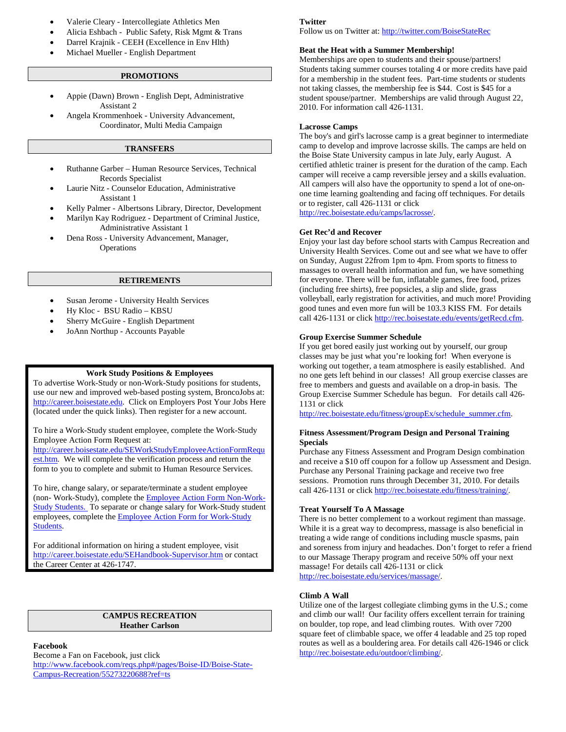- Valerie Cleary Intercollegiate Athletics Men
- Alicia Eshbach Public Safety, Risk Mgmt & Trans
- Darrel Krajnik CEEH (Excellence in Env Hlth)
- Michael Mueller English Department

# **PROMOTIONS**

- Appie (Dawn) Brown English Dept, Administrative Assistant 2
- Angela Krommenhoek University Advancement, Coordinator, Multi Media Campaign

# **TRANSFERS**

- Ruthanne Garber Human Resource Services, Technical Records Specialist
- Laurie Nitz Counselor Education, Administrative Assistant 1
- Kelly Palmer Albertsons Library, Director, Development
- Marilyn Kay Rodriguez Department of Criminal Justice, Administrative Assistant 1
- Dena Ross University Advancement, Manager, Operations

# **RETIREMENTS**

- Susan Jerome University Health Services
- Hy Kloc BSU Radio KBSU
- Sherry McGuire English Department
- JoAnn Northup Accounts Payable

# **Work Study Positions & Employees**

To advertise Work-Study or non-Work-Study positions for students, use our new and improved web-based posting system, BroncoJobs at: http://career.boisestate.edu. Click on Employers Post Your Jobs Here (located under the quick links). Then register for a new account.

To hire a Work-Study student employee, complete the Work-Study Employee Action Form Request at:

[http://career.boisestate.edu/SEWorkStudyEmployeeActionFormRequ](http://career.boisestate.edu/SEWorkStudyEmployeeActionFormRequest.htm) [est.htm.](http://career.boisestate.edu/SEWorkStudyEmployeeActionFormRequest.htm) We will complete the verification process and return the form to you to complete and submit to Human Resource Services.

To hire, change salary, or separate/terminate a student employee (non- Work-Study), complete the **Employee Action Form Non-Work-**[Study Students.](http://hrs.boisestate.edu/forms/eafstudents.pdf) To separate or change salary for Work-Study student employees, complete the **Employee Action Form for Work-Study** [Students.](http://hrs.boisestate.edu/forms/eafworkstudy.pdf)

For additional information on hiring a student employee, visit <http://career.boisestate.edu/SEHandbook-Supervisor.htm> or contact the Career Center at 426-1747.

# **CAMPUS RECREATION Heather Carlson**

## **Facebook**

Become a Fan on Facebook, just click [http://www.facebook.com/reqs.php#/pages/Boise-ID/Boise-State-](http://www.facebook.com/reqs.php#/pages/Boise-ID/Boise-State-Campus-Recreation/55273220688?ref=ts)[Campus-Recreation/55273220688?ref=ts](http://www.facebook.com/reqs.php#/pages/Boise-ID/Boise-State-Campus-Recreation/55273220688?ref=ts)

# **Twitter**

Follow us on Twitter at: http://twitter.com/BoiseStateRec

# **Beat the Heat with a Summer Membership!**

Memberships are open to students and their spouse/partners! Students taking summer courses totaling 4 or more credits have paid for a membership in the student fees. Part-time students or students not taking classes, the membership fee is \$44. Cost is \$45 for a student spouse/partner. Memberships are valid through August 22, 2010. For information call 426-1131.

# **Lacrosse Camps**

The boy's and girl's lacrosse camp is a great beginner to intermediate camp to develop and improve lacrosse skills. The camps are held on the Boise State University campus in late July, early August. A certified athletic trainer is present for the duration of the camp. Each camper will receive a camp reversible jersey and a skills evaluation. All campers will also have the opportunity to spend a lot of one-onone time learning goaltending and facing off techniques. For details or to register, call 426-1131 or click

[http://rec.boisestate.edu/camps/lacrosse/.](http://rec.boisestate.edu/camps/lacrosse/)

# **Get Rec'd and Recover**

Enjoy your last day before school starts with Campus Recreation and University Health Services. Come out and see what we have to offer on Sunday, August 22from 1pm to 4pm. From sports to fitness to massages to overall health information and fun, we have something for everyone. There will be fun, inflatable games, free food, prizes (including free shirts), free popsicles, a slip and slide, grass volleyball, early registration for activities, and much more! Providing good tunes and even more fun will be 103.3 KISS FM. For details call 426-1131 or click http://rec.boisestate.edu/events/getRecd.cfm.

## **Group Exercise Summer Schedule**

If you get bored easily just working out by yourself, our group classes may be just what you're looking for! When everyone is working out together, a team atmosphere is easily established. And no one gets left behind in our classes! All group exercise classes are free to members and guests and available on a drop-in basis. The Group Exercise Summer Schedule has begun. For details call 426- 1131 or click

http://rec.boisestate.edu/fitness/groupEx/schedule\_summer.cfm.

## **Fitness Assessment/Program Design and Personal Training Specials**

Purchase any Fitness Assessment and Program Design combination and receive a \$10 off coupon for a follow up Assessment and Design. Purchase any Personal Training package and receive two free sessions. Promotion runs through December 31, 2010. For details call 426-1131 or clic[k http://rec.boisestate.edu/fitness/training/.](http://rec.boisestate.edu/fitness/training/)

# **Treat Yourself To A Massage**

There is no better complement to a workout regiment than massage. While it is a great way to decompress, massage is also beneficial in treating a wide range of conditions including muscle spasms, pain and soreness from injury and headaches. Don't forget to refer a friend to our Massage Therapy program and receive 50% off your next massage! For details call 426-1131 or click [http://rec.boisestate.edu/services/massage/.](http://rec.boisestate.edu/services/massage/)

# **Climb A Wall**

Utilize one of the largest collegiate climbing gyms in the U.S.; come and climb our wall! Our facility offers excellent terrain for training on boulder, top rope, and lead climbing routes. With over 7200 square feet of climbable space, we offer 4 leadable and 25 top roped routes as well as a bouldering area. For details call 426-1946 or click [http://rec.boisestate.edu/outdoor/climbing/.](http://rec.boisestate.edu/outdoor/climbing/)